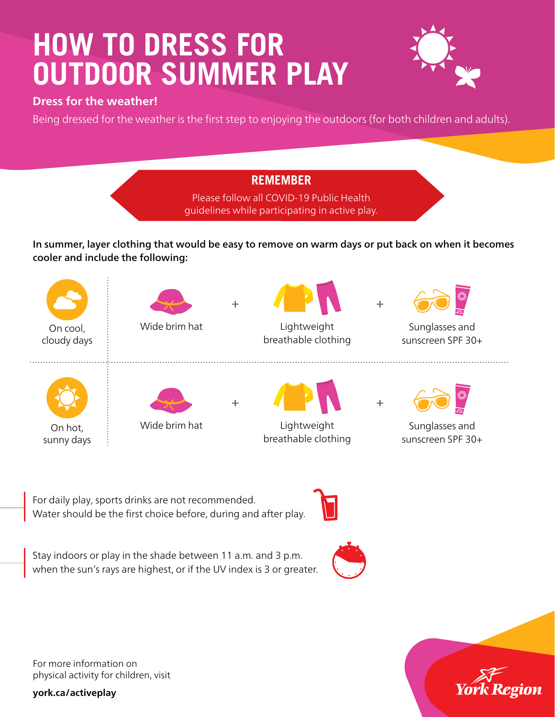## **HOW TO DRESS FOR OUTDOOR SUMMER PLAY**



## **Dress for the weather!**

Being dressed for the weather is the first step to enjoying the outdoors (for both children and adults).

## **REMEMBER**

Please follow all COVID-19 Public Health guidelines while participating in active play.

In summer, layer clothing that would be easy to remove on warm days or put back on when it becomes cooler and include the following:



For daily play, sports drinks are not recommended. Water should be the first choice before, during and after play.



Stay indoors or play in the shade between 11 a.m. and 3 p.m. when the sun's rays are highest, or if the UV index is 3 or greater.



For more information on physical activity for children, visit

**york.ca/activeplay**